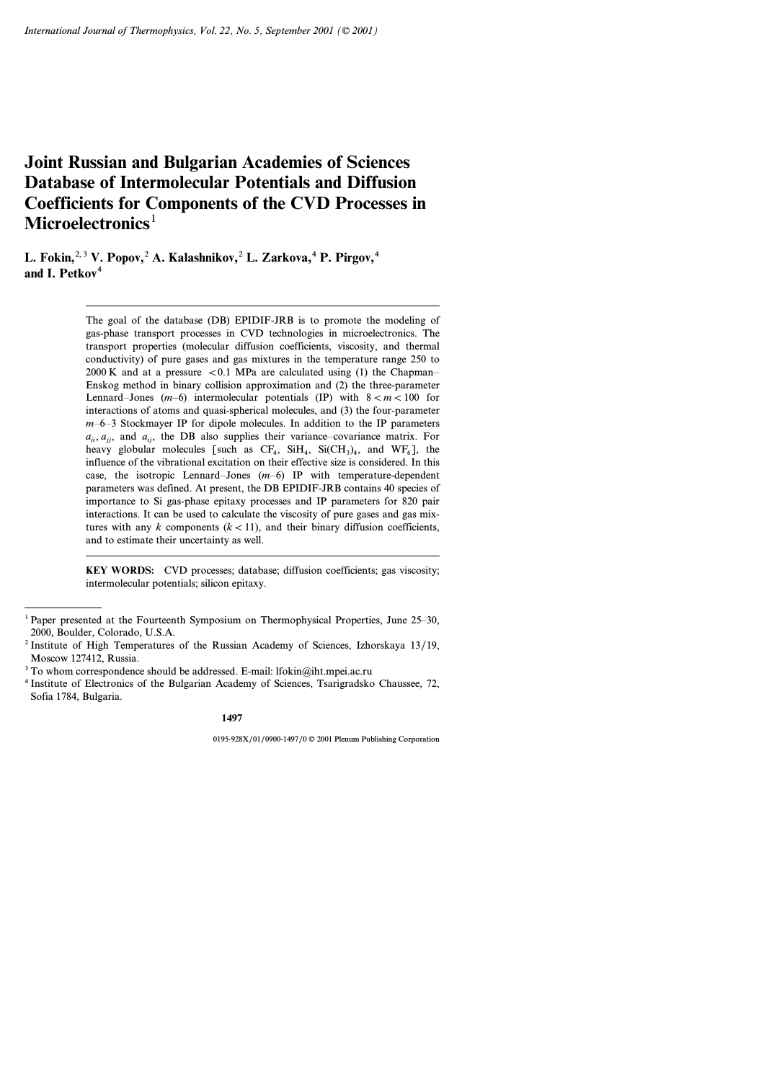# **Joint Russian and Bulgarian Academies of Sciences Database of Intermolecular Potentials and Diffusion Coefficients for Components of the CVD Processes in Microelectronics**<sup>1</sup>

**L. Fokin,**2, 3 **V. Popov,**<sup>2</sup> **A. Kalashnikov,**<sup>2</sup> **L. Zarkova,**<sup>4</sup> **P. Pirgov,**<sup>4</sup> and **I**. Petkov<sup>4</sup>

> The goal of the database (DB) EPIDIF-JRB is to promote the modeling of gas-phase transport processes in CVD technologies in microelectronics.The transport properties (molecular diffusion coefficients, viscosity, and thermal conductivity) of pure gases and gas mixtures in the temperature range 250 to 2000 K and at a pressure  $\lt 0.1$  MPa are calculated using (1) the Chapman– Enskog method in binary collision approximation and (2) the three-parameter Lennard–Jones (*m–*6) intermolecular potentials (IP) with 8 < *m* < 100 for interactions of atoms and quasi-spherical molecules, and (3) the four-parameter *m*–6–3 Stockmayer IP for dipole molecules.In addition to the IP parameters  $a_{ii}$ ,  $a_{ii}$ , and  $a_{ii}$ , the DB also supplies their variance–covariance matrix. For heavy globular molecules [such as  $CF_4$ ,  $Si(H_4, Si(CH_3)_4$ , and  $WF_6$ ], the influence of the vibrational excitation on their effective size is considered.In this case, the isotropic Lennard–Jones (*m*–6) IP with temperature-dependent parameters was defined.At present, the DB EPIDIF-JRB contains 40 species of importance to Si gas-phase epitaxy processes and IP parameters for 820 pair interactions.It can be used to calculate the viscosity of pure gases and gas mixtures with any  $k$  components  $(k < 11)$ , and their binary diffusion coefficients, and to estimate their uncertainty as well.

> **KEY WORDS:** CVD processes; database; diffusion coefficients; gas viscosity; intermolecular potentials; silicon epitaxy.

 $1$  Paper presented at the Fourteenth Symposium on Thermophysical Properties, June 25–30, 2000, Boulder, Colorado, U.S.A.

<sup>2</sup> Institute of High Temperatures of the Russian Academy of Sciences, Izhorskaya 13/19, Moscow 127412, Russia.

 $3$  To whom correspondence should be addressed. E-mail: lfokin@iht.mpei.ac.ru

<sup>4</sup> Institute of Electronics of the Bulgarian Academy of Sciences, Tsarigradsko Chaussee, 72, Sofia 1784, Bulgaria.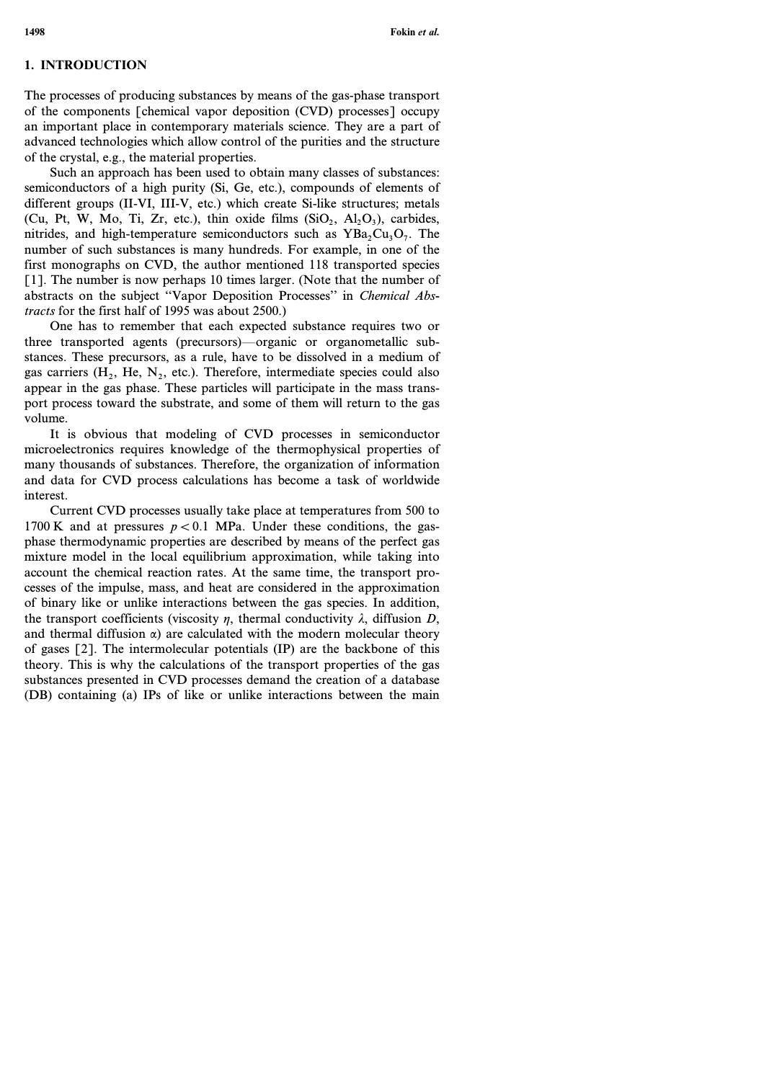## **1. INTRODUCTION**

The processes of producing substances by means of the gas-phase transport of the components [chemical vapor deposition (CVD) processes] occupy an important place in contemporary materials science. They are a part of advanced technologies which allow control of the purities and the structure of the crystal, e.g., the material properties.

Such an approach has been used to obtain many classes of substances: semiconductors of a high purity (Si, Ge, etc.), compounds of elements of different groups (II-VI, III-V, etc.) which create Si-like structures; metals (Cu, Pt, W, Mo, Ti, Zr, etc.), thin oxide films  $(SiO_2, Al_2O_3)$ , carbides, nitrides, and high-temperature semiconductors such as  $YBa<sub>2</sub>Cu<sub>3</sub>O<sub>7</sub>$ . The number of such substances is many hundreds. For example, in one of the first monographs on CVD, the author mentioned 118 transported species [1]. The number is now perhaps 10 times larger. (Note that the number of abstracts on the subject ''Vapor Deposition Processes'' in *Chemical Abstracts* for the first half of 1995 was about 2500.)

One has to remember that each expected substance requires two or three transported agents (precursors)—organic or organometallic substances.These precursors, as a rule, have to be dissolved in a medium of gas carriers  $(H_2, He, N_2, etc.).$  Therefore, intermediate species could also appear in the gas phase. These particles will participate in the mass transport process toward the substrate, and some of them will return to the gas volume.

It is obvious that modeling of CVD processes in semiconductor microelectronics requires knowledge of the thermophysical properties of many thousands of substances.Therefore, the organization of information and data for CVD process calculations has become a task of worldwide interest.

Current CVD processes usually take place at temperatures from 500 to 1700 K and at pressures  $p < 0.1$  MPa. Under these conditions, the gasphase thermodynamic properties are described by means of the perfect gas mixture model in the local equilibrium approximation, while taking into account the chemical reaction rates.At the same time, the transport processes of the impulse, mass, and heat are considered in the approximation of binary like or unlike interactions between the gas species.In addition, the transport coefficients (viscosity  $\eta$ , thermal conductivity  $\lambda$ , diffusion *D*, and thermal diffusion  $\alpha$ ) are calculated with the modern molecular theory of gases [2].The intermolecular potentials (IP) are the backbone of this theory.This is why the calculations of the transport properties of the gas substances presented in CVD processes demand the creation of a database (DB) containing (a) IPs of like or unlike interactions between the main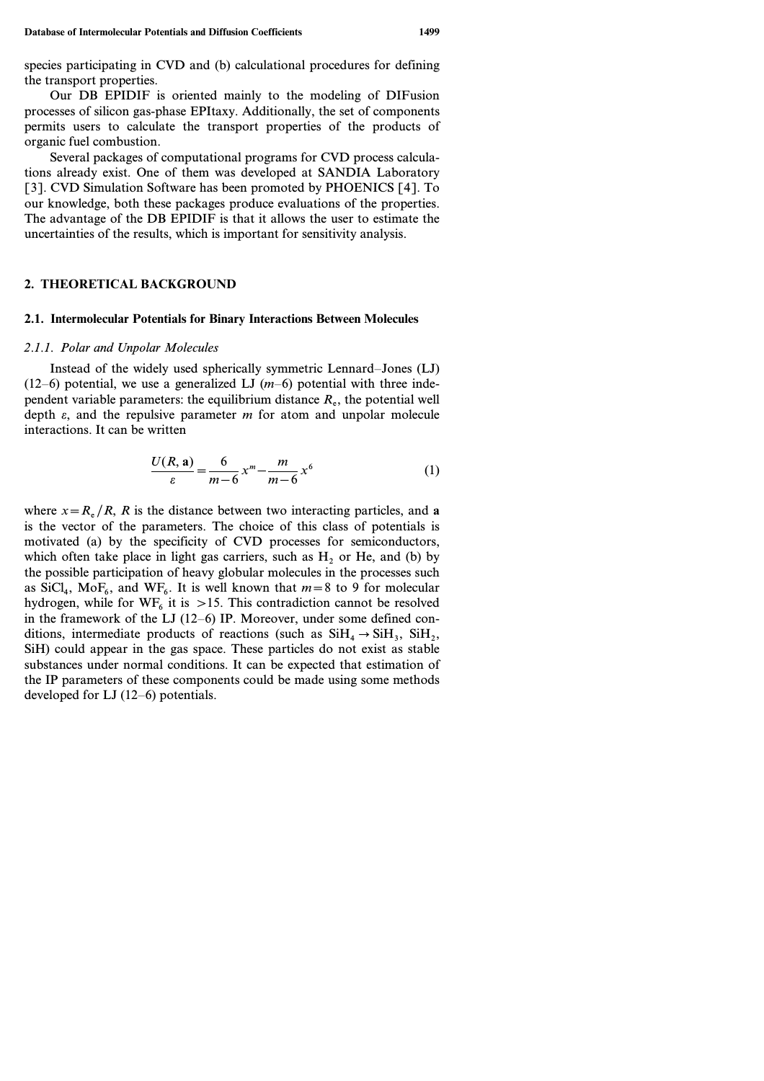species participating in CVD and (b) calculational procedures for defining the transport properties.

Our DB EPIDIF is oriented mainly to the modeling of DIFusion processes of silicon gas-phase EPItaxy.Additionally, the set of components permits users to calculate the transport properties of the products of organic fuel combustion.

Several packages of computational programs for CVD process calculations already exist.One of them was developed at SANDIA Laboratory [3]. CVD Simulation Software has been promoted by PHOENICS [4]. To our knowledge, both these packages produce evaluations of the properties. The advantage of the DB EPIDIF is that it allows the user to estimate the uncertainties of the results, which is important for sensitivity analysis.

## **2. THEORETICAL BACKGROUND**

# **2.1. Intermolecular Potentials for Binary Interactions Between Molecules**

#### *2.1.1. Polar and Unpolar Molecules*

Instead of the widely used spherically symmetric Lennard–Jones (LJ)  $(12–6)$  potential, we use a generalized LJ  $(m-6)$  potential with three independent variable parameters: the equilibrium distance  $R_e$ , the potential well depth *e*, and the repulsive parameter *m* for atom and unpolar molecule interactions.It can be written

$$
\frac{U(R, a)}{\varepsilon} = \frac{6}{m - 6} x^m - \frac{m}{m - 6} x^6
$$
 (1)

where  $x = R_e / R$ , *R* is the distance between two interacting particles, and **a** is the vector of the parameters.The choice of this class of potentials is motivated (a) by the specificity of CVD processes for semiconductors, which often take place in light gas carriers, such as  $H<sub>2</sub>$  or He, and (b) by the possible participation of heavy globular molecules in the processes such as SiCl<sub>4</sub>, MoF<sub>6</sub>, and WF<sub>6</sub>. It is well known that  $m=8$  to 9 for molecular hydrogen, while for  $WF<sub>6</sub>$  it is >15. This contradiction cannot be resolved in the framework of the LJ  $(12–6)$  IP. Moreover, under some defined conditions, intermediate products of reactions (such as  $SiH_4 \rightarrow SiH_3$ ,  $SiH_2$ , SiH) could appear in the gas space. These particles do not exist as stable substances under normal conditions. It can be expected that estimation of the IP parameters of these components could be made using some methods developed for LJ (12–6) potentials.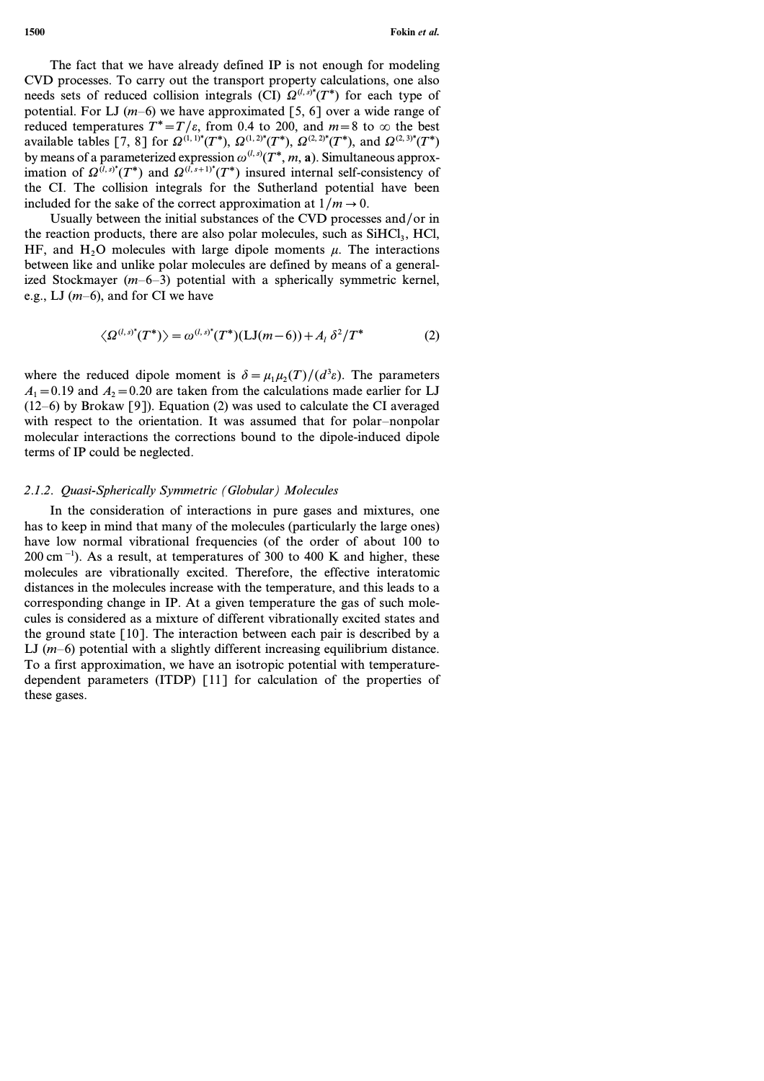The fact that we have already defined IP is not enough for modeling CVD processes.To carry out the transport property calculations, one also needs sets of reduced collision integrals (CI)  $\Omega^{(l,s)*}(T^*)$  for each type of potential. For LJ  $(m-6)$  we have approximated [5, 6] over a wide range of reduced temperatures  $T^* = T/\varepsilon$ , from 0.4 to 200, and  $m=8$  to  $\infty$  the best available tables [7, 8] for  $\Omega^{(1,1)*}(T^*)$ ,  $\Omega^{(1,2)*}(T^*)$ ,  $\Omega^{(2,2)*}(T^*)$ , and  $\Omega^{(2,3)*}(T^*)$ by means of a parameterized expression  $\omega^{(l,s)}(T^*, m, a)$ . Simultaneous approximation of  $\Omega^{(l, s)^*}(T^*)$  and  $\Omega^{(l, s+1)^*}(T^*)$  insured internal self-consistency of the CI.The collision integrals for the Sutherland potential have been included for the sake of the correct approximation at  $1/m \rightarrow 0$ .

Usually between the initial substances of the CVD processes and/or in the reaction products, there are also polar molecules, such as  $SiHCl<sub>3</sub>$ , HCl, HF, and H<sub>2</sub>O molecules with large dipole moments  $\mu$ . The interactions between like and unlike polar molecules are defined by means of a generalized Stockmayer (*m*–6–3) potential with a spherically symmetric kernel, e.g., LJ (*m*–6), and for CI we have

$$
\langle \Omega^{(l,s)^{*}}(T^{*}) \rangle = \omega^{(l,s)^{*}}(T^{*})(LJ(m-6)) + A_{l} \delta^{2}/T^{*}
$$
 (2)

where the reduced dipole moment is  $\delta = \mu_1 \mu_2(T)/(d^3 \varepsilon)$ . The parameters  $A_1$  = 0.19 and  $A_2$  = 0.20 are taken from the calculations made earlier for LJ  $(12–6)$  by Brokaw [9]). Equation (2) was used to calculate the CI averaged with respect to the orientation. It was assumed that for polar-nonpolar molecular interactions the corrections bound to the dipole-induced dipole terms of IP could be neglected.

## 2.1.2. Quasi-Spherically Symmetric (Globular) Molecules

In the consideration of interactions in pure gases and mixtures, one has to keep in mind that many of the molecules (particularly the large ones) have low normal vibrational frequencies (of the order of about 100 to 200 cm−1).As a result, at temperatures of 300 to 400 K and higher, these molecules are vibrationally excited.Therefore, the effective interatomic distances in the molecules increase with the temperature, and this leads to a corresponding change in IP.At a given temperature the gas of such molecules is considered as a mixture of different vibrationally excited states and the ground state  $\lceil 10 \rceil$ . The interaction between each pair is described by a LJ  $(m-6)$  potential with a slightly different increasing equilibrium distance. To a first approximation, we have an isotropic potential with temperaturedependent parameters (ITDP) [11] for calculation of the properties of these gases.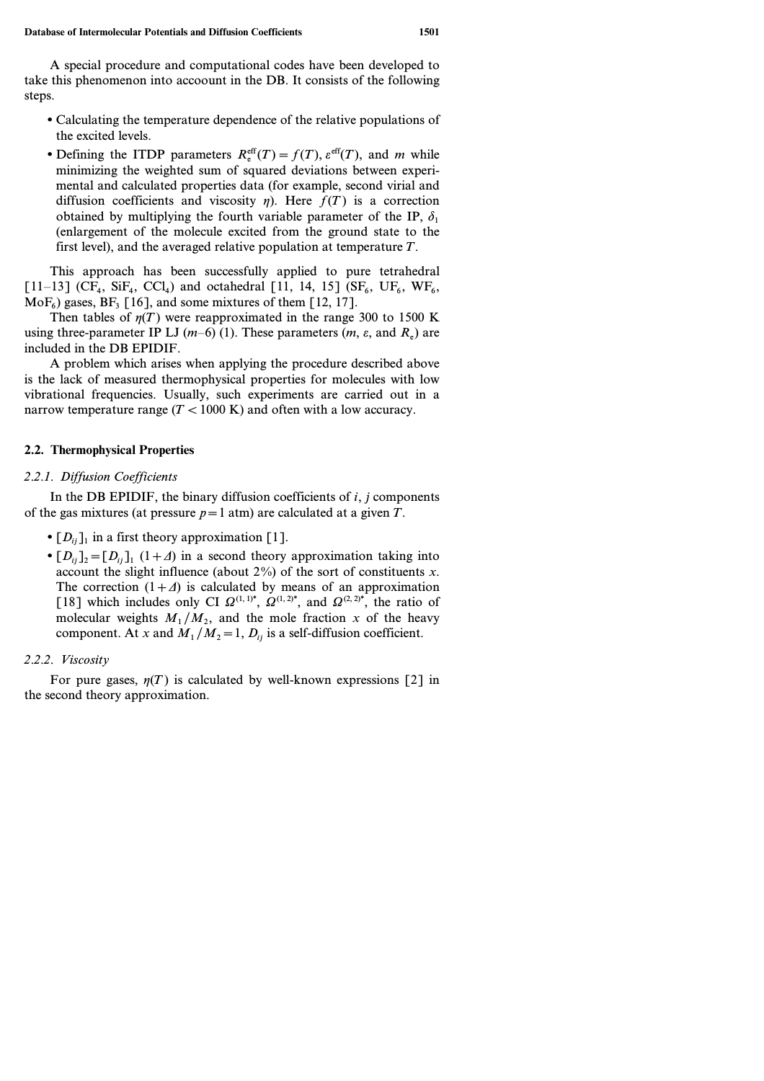A special procedure and computational codes have been developed to take this phenomenon into accoount in the DB.It consists of the following steps.

- Calculating the temperature dependence of the relative populations of the excited levels.
- Defining the ITDP parameters  $R_e^{\text{eff}}(T) = f(T)$ ,  $e^{\text{eff}}(T)$ , and *m* while minimizing the weighted sum of squared deviations between experimental and calculated properties data (for example, second virial and diffusion coefficients and viscosity  $\eta$ ). Here  $f(T)$  is a correction obtained by multiplying the fourth variable parameter of the IP,  $\delta_1$ (enlargement of the molecule excited from the ground state to the first level), and the averaged relative population at temperature *T*.

This approach has been successfully applied to pure tetrahedral  $[11–13]$  (CF<sub>4</sub>, SiF<sub>4</sub>, CCl<sub>4</sub>) and octahedral [11, 14, 15] (SF<sub>6</sub>, UF<sub>6</sub>, WF<sub>6</sub>,  $MoF<sub>6</sub>$ ) gases, BF<sub>3</sub> [16], and some mixtures of them [12, 17].

Then tables of  $\eta(T)$  were reapproximated in the range 300 to 1500 K using three-parameter IP LJ  $(m-6)$  (1). These parameters  $(m, \varepsilon, \text{ and } R_{\varepsilon})$  are included in the DB EPIDIF.

A problem which arises when applying the procedure described above is the lack of measured thermophysical properties for molecules with low vibrational frequencies.Usually, such experiments are carried out in a narrow temperature range  $(T < 1000 \text{ K})$  and often with a low accuracy.

# **2.2. Thermophysical Properties**

# *2.2.1. Diffusion Coefficients*

In the DB EPIDIF, the binary diffusion coefficients of *i, j* components of the gas mixtures (at pressure  $p=1$  atm) are calculated at a given  $T$ .

- $[D_{ij}]_1$  in a first theory approximation [1].
- $[D_{ii}]_2 = [D_{ii}]_1 (1+\Delta)$  in a second theory approximation taking into account the slight influence (about 2%) of the sort of constituents *x*. The correction  $(1+\Delta)$  is calculated by means of an approximation [18] which includes only CI  $Q^{(1,1)*}$ ,  $Q^{(1,2)*}$ , and  $Q^{(2,2)*}$ , the ratio of molecular weights  $M_1/M_2$ , and the mole fraction x of the heavy component. At *x* and  $M_1/M_2 = 1$ ,  $D_i$  is a self-diffusion coefficient.

# *2.2.2. Viscosity*

For pure gases,  $\eta(T)$  is calculated by well-known expressions [2] in the second theory approximation.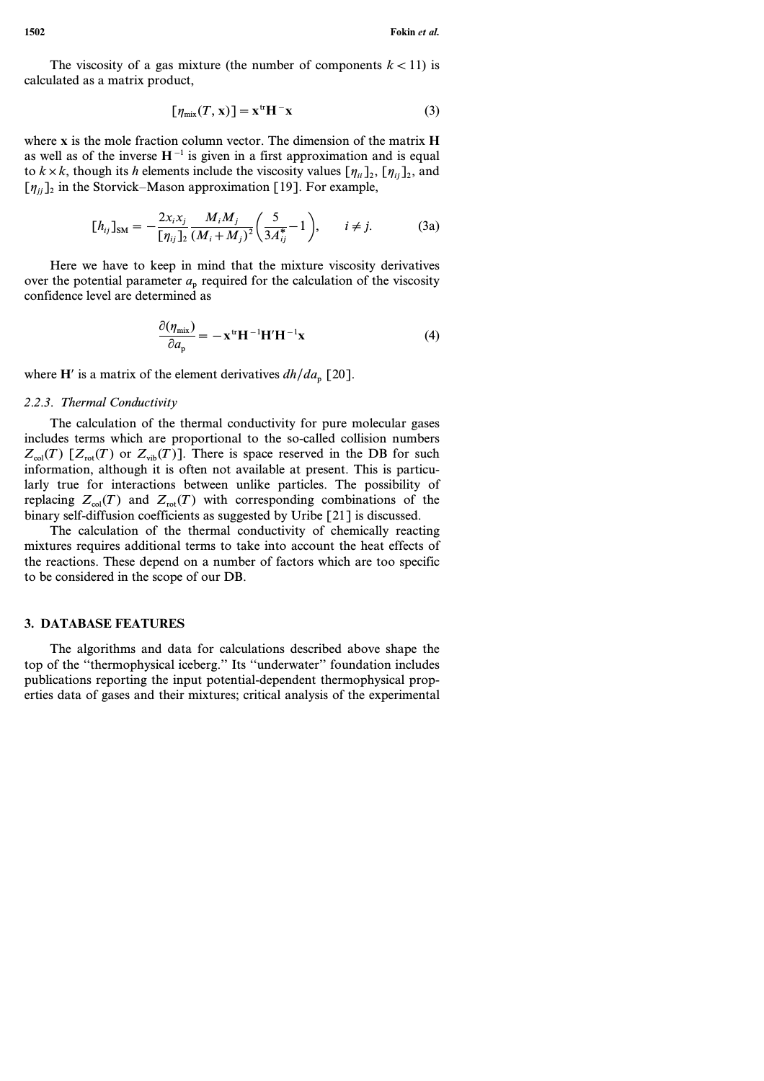The viscosity of a gas mixture (the number of components  $k < 11$ ) is calculated as a matrix product,

$$
[\eta_{\text{mix}}(T, \mathbf{x})] = \mathbf{x}^{\text{tr}} \mathbf{H}^- \mathbf{x}
$$
 (3)

where **x** is the mole fraction column vector.The dimension of the matrix **H** as well as of the inverse  $H^{-1}$  is given in a first approximation and is equal to  $k \times k$ , though its *h* elements include the viscosity values  $[\eta_{ii}]_2$ ,  $[\eta_{ii}]_2$ , and  $[\eta_{ij}]_2$  in the Storvick–Mason approximation [19]. For example,

$$
[h_{ij}]_{\rm SM} = -\frac{2x_i x_j}{[\eta_{ij}]_2} \frac{M_i M_j}{(M_i + M_j)^2} \left(\frac{5}{3A_{ij}^*} - 1\right), \qquad i \neq j.
$$
 (3a)

Here we have to keep in mind that the mixture viscosity derivatives over the potential parameter  $a_n$  required for the calculation of the viscosity confidence level are determined as

$$
\frac{\partial(\eta_{\text{mix}})}{\partial a_{\text{p}}} = -\mathbf{x}^{\text{tr}} \mathbf{H}^{-1} \mathbf{H}' \mathbf{H}^{-1} \mathbf{x}
$$
(4)

where **H**' is a matrix of the element derivatives  $dh/da_p$  [20].

#### *2.2.3. Thermal Conductivity*

The calculation of the thermal conductivity for pure molecular gases includes terms which are proportional to the so-called collision numbers  $Z_{\text{col}}(T)$   $[Z_{\text{rot}}(T)$  or  $Z_{\text{vib}}(T)$ ]. There is space reserved in the DB for such information, although it is often not available at present.This is particularly true for interactions between unlike particles. The possibility of replacing  $Z_{col}(T)$  and  $Z_{rot}(T)$  with corresponding combinations of the binary self-diffusion coefficients as suggested by Uribe [21] is discussed.

The calculation of the thermal conductivity of chemically reacting mixtures requires additional terms to take into account the heat effects of the reactions.These depend on a number of factors which are too specific to be considered in the scope of our DB.

#### **3. DATABASE FEATURES**

The algorithms and data for calculations described above shape the top of the ''thermophysical iceberg.'' Its ''underwater'' foundation includes publications reporting the input potential-dependent thermophysical properties data of gases and their mixtures; critical analysis of the experimental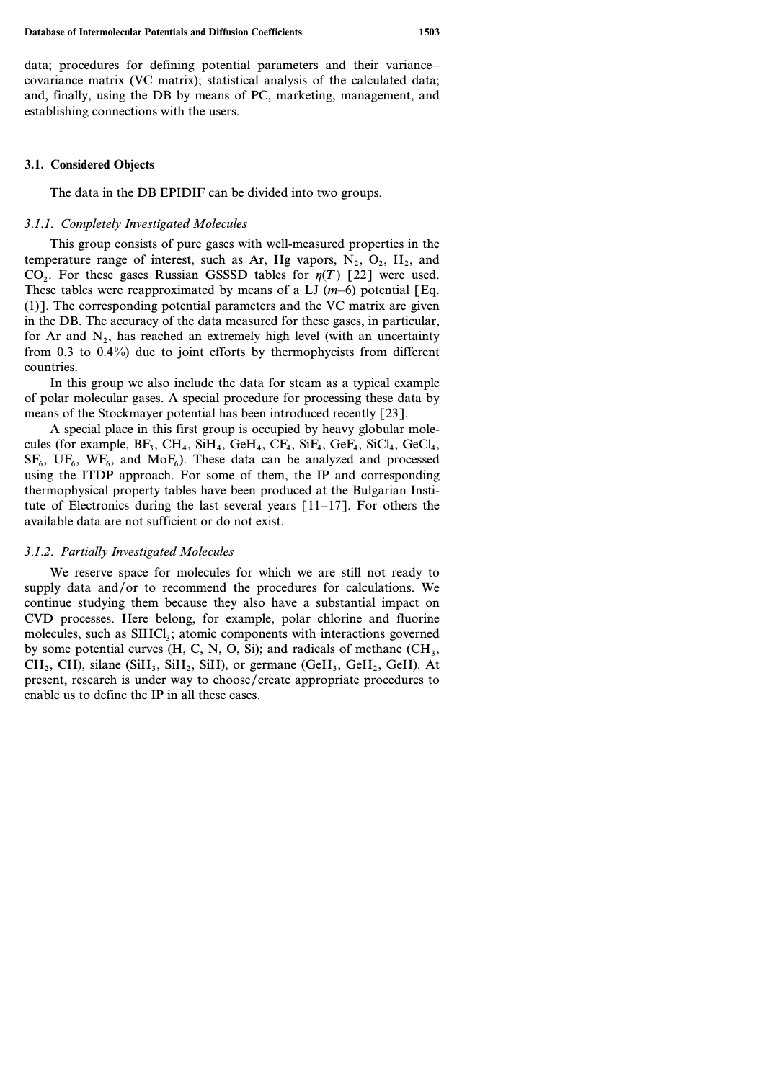data; procedures for defining potential parameters and their variance– covariance matrix (VC matrix); statistical analysis of the calculated data; and, finally, using the DB by means of PC, marketing, management, and establishing connections with the users.

#### **3.1. Considered Objects**

The data in the DB EPIDIF can be divided into two groups.

#### *3.1.1. Completely Investigated Molecules*

This group consists of pure gases with well-measured properties in the temperature range of interest, such as Ar, Hg vapors,  $N_2$ ,  $O_2$ ,  $H_2$ , and CO<sub>2</sub>. For these gases Russian GSSSD tables for  $\eta(T)$  [22] were used. These tables were reapproximated by means of a LJ  $(m-6)$  potential [Eq. (1)].The corresponding potential parameters and the VC matrix are given in the DB.The accuracy of the data measured for these gases, in particular, for Ar and  $N_2$ , has reached an extremely high level (with an uncertainty from 0.3 to 0.4%) due to joint efforts by thermophycists from different countries.

In this group we also include the data for steam as a typical example of polar molecular gases.A special procedure for processing these data by means of the Stockmayer potential has been introduced recently [23].

A special place in this first group is occupied by heavy globular molecules (for example,  $BF_3$ ,  $CH_4$ ,  $SiH_4$ ,  $GeH_4$ ,  $CF_4$ ,  $SiF_4$ ,  $GeF_4$ ,  $SiCl_4$ ,  $GeCl_4$ ,  $SF_6$ ,  $UF_6$ ,  $WF_6$ , and  $MoF_6$ ). These data can be analyzed and processed using the ITDP approach. For some of them, the IP and corresponding thermophysical property tables have been produced at the Bulgarian Institute of Electronics during the last several years  $\lceil 11-17 \rceil$ . For others the available data are not sufficient or do not exist.

#### *3.1.2. Partially Investigated Molecules*

We reserve space for molecules for which we are still not ready to supply data and/or to recommend the procedures for calculations. We continue studying them because they also have a substantial impact on CVD processes.Here belong, for example, polar chlorine and fluorine molecules, such as SIHCl<sub>3</sub>; atomic components with interactions governed by some potential curves (H, C, N, O, Si); and radicals of methane  $(CH_3,$  $CH_2$ , CH), silane (SiH<sub>3</sub>, SiH<sub>2</sub>, SiH), or germane (GeH<sub>3</sub>, GeH<sub>2</sub>, GeH). At present, research is under way to choose/create appropriate procedures to enable us to define the IP in all these cases.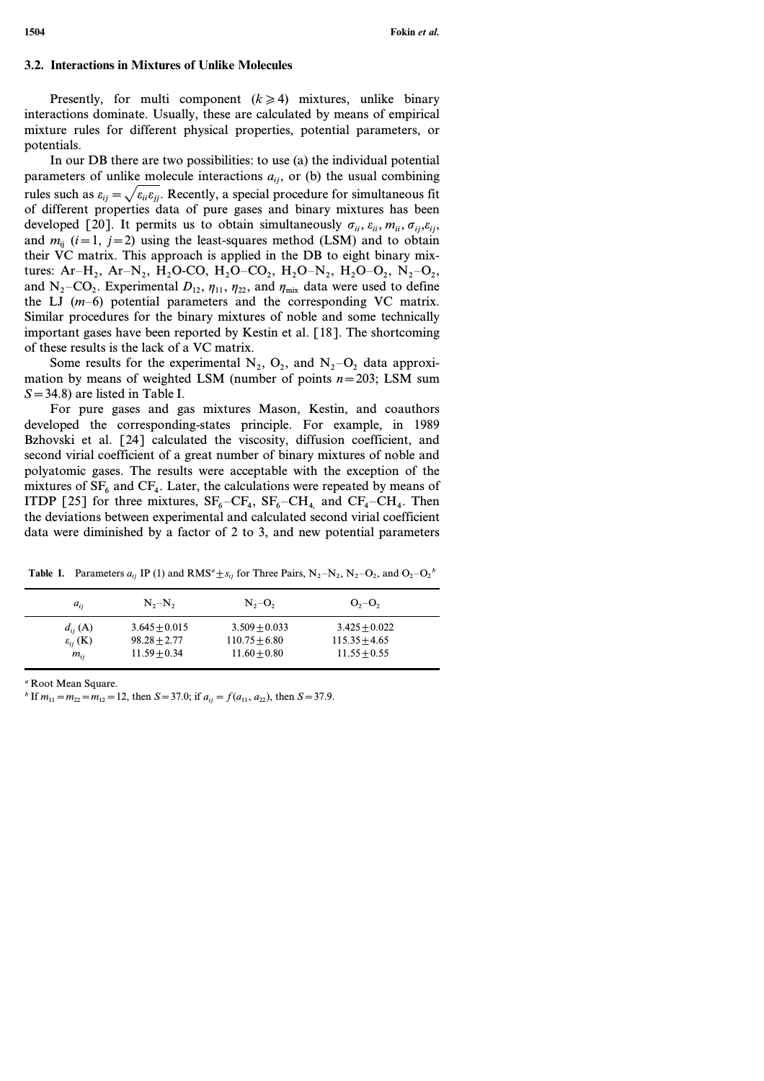### **3.2. Interactions in Mixtures of Unlike Molecules**

Presently, for multi component  $(k \ge 4)$  mixtures, unlike binary interactions dominate.Usually, these are calculated by means of empirical mixture rules for different physical properties, potential parameters, or potentials.

In our DB there are two possibilities: to use (a) the individual potential parameters of unlike molecule interactions  $a_{ij}$ , or (b) the usual combining rules such as  $\varepsilon_{ij} = \sqrt{\varepsilon_{ii} \varepsilon_{jj}}$ . Recently, a special procedure for simultaneous fit of different properties data of pure gases and binary mixtures has been developed [20]. It permits us to obtain simultaneously  $\sigma_{ii}$ ,  $\varepsilon_{ii}$ ,  $m_{ii}$ ,  $\sigma_{ii}$ ,  $\varepsilon_{ii}$ , and  $m_{ii}$  ( $i=1$ ,  $j=2$ ) using the least-squares method (LSM) and to obtain their VC matrix. This approach is applied in the DB to eight binary mixtures: Ar–H<sub>2</sub>, Ar–N<sub>2</sub>, H<sub>2</sub>O–CO, H<sub>2</sub>O–CO<sub>2</sub>, H<sub>2</sub>O–N<sub>2</sub>, H<sub>2</sub>O–O<sub>2</sub>, N<sub>2</sub>–O<sub>2</sub>, and N<sub>2</sub>-CO<sub>2</sub>. Experimental  $D_{12}$ ,  $\eta_{11}$ ,  $\eta_{22}$ , and  $\eta_{\text{mix}}$  data were used to define the LJ (*m*–6) potential parameters and the corresponding VC matrix. Similar procedures for the binary mixtures of noble and some technically important gases have been reported by Kestin et al. [18]. The shortcoming of these results is the lack of a VC matrix.

Some results for the experimental  $N_2$ ,  $O_2$ , and  $N_2-O_2$  data approximation by means of weighted LSM (number of points  $n=203$ ; LSM sum *S*=34.8) are listed in Table I.

For pure gases and gas mixtures Mason, Kestin, and coauthors developed the corresponding-states principle. For example, in 1989 Bzhovski et al. [24] calculated the viscosity, diffusion coefficient, and second virial coefficient of a great number of binary mixtures of noble and polyatomic gases.The results were acceptable with the exception of the mixtures of  $SF<sub>6</sub>$  and  $CF<sub>4</sub>$ . Later, the calculations were repeated by means of ITDP [25] for three mixtures,  $SF_6-CF_4$ ,  $SF_6-CH_4$  and  $CF_4-CH_4$ . Then the deviations between experimental and calculated second virial coefficient data were diminished by a factor of 2 to 3, and new potential parameters

| $a_{ii}$               | $N_{2}-N_{2}$   | $N_{2}-O_{2}$   | $O_2-O_2$       |
|------------------------|-----------------|-----------------|-----------------|
| $d_{ij}$ (A)           | $3.645 + 0.015$ | $3.509 + 0.033$ | $3.425 + 0.022$ |
| $\varepsilon_{ii}$ (K) | $98.28 + 2.77$  | $110.75 + 6.80$ | $115.35 + 4.65$ |
| $m_{ii}$               | $11.59 + 0.34$  | $11.60 + 0.80$  | $11.55 + 0.55$  |

**Table I.** Parameters  $a_{ij}$  IP (1) and RMS<sup>a</sup>  $\pm s_{ij}$  for Three Pairs,  $N_2 - N_2$ ,  $N_2 - O_2$ , and  $O_2 - O_2$ <sup>*b*</sup>

*<sup>a</sup>* Root Mean Square.

*b* If  $m_{11} = m_{22} = m_{12} = 12$ , then  $S = 37.0$ ; if  $a_{ij} = f(a_{11}, a_{22})$ , then  $S = 37.9$ .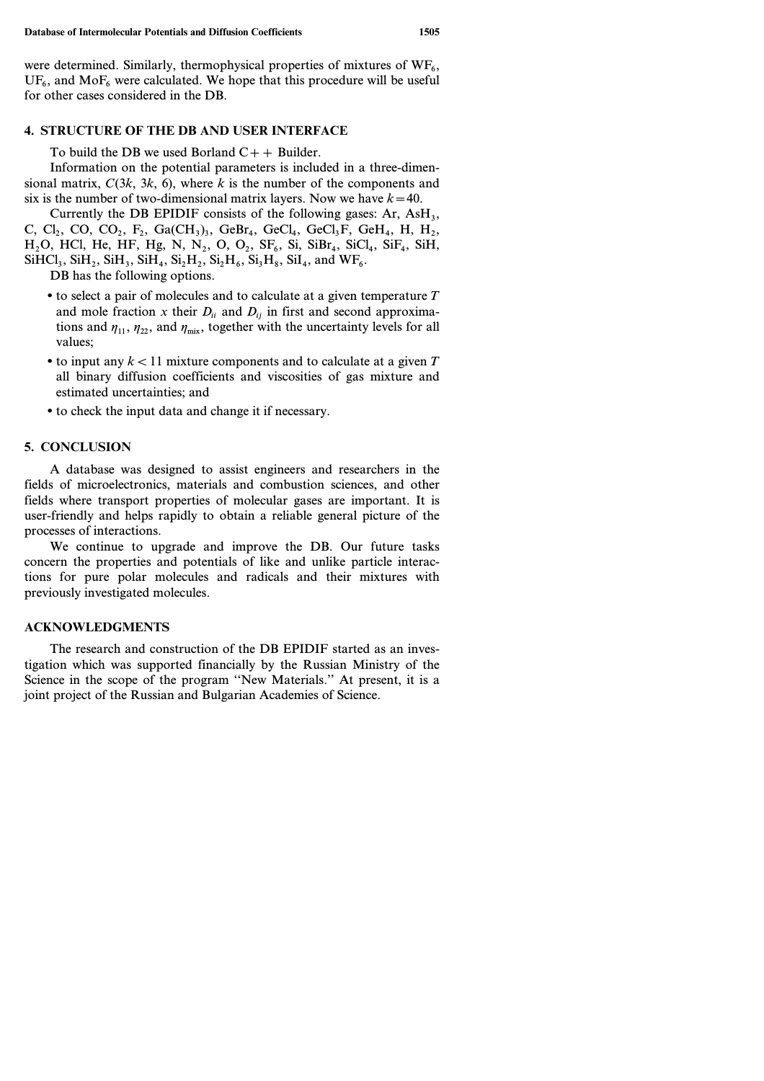were determined. Similarly, thermophysical properties of mixtures of  $WF_6$ ,  $UF_6$ , and Mo $F_6$  were calculated. We hope that this procedure will be useful for other cases considered in the DB.

#### **4. STRUCTURE OF THE DB AND USER INTERFACE**

To build the DB we used Borland  $C++$  Builder.

Information on the potential parameters is included in a three-dimensional matrix,  $C(3k, 3k, 6)$ , where k is the number of the components and six is the number of two-dimensional matrix layers. Now we have  $k=40$ .

Currently the DB EPIDIF consists of the following gases:  $Ar$ ,  $AsH_3$ , C, Cl<sub>2</sub>, CO, CO<sub>2</sub>, F<sub>2</sub>, Ga(CH<sub>3</sub>)<sub>3</sub>, GeBr<sub>4</sub>, GeCl<sub>4</sub>, GeCl<sub>3</sub>F, GeH<sub>4</sub>, H, H<sub>2</sub>,  $H_2O$ , HCl, He, HF, Hg, N, N<sub>2</sub>, O, O<sub>2</sub>, SF<sub>6</sub>, Si, SiBr<sub>4</sub>, SiCl<sub>4</sub>, SiF<sub>4</sub>, SiH,  $SiHCl<sub>3</sub>$ ,  $SiH<sub>2</sub>$ ,  $SiH<sub>3</sub>$ ,  $SiH<sub>4</sub>$ ,  $Si<sub>2</sub>H<sub>2</sub>$ ,  $Si<sub>2</sub>H<sub>6</sub>$ ,  $Si<sub>3</sub>H<sub>8</sub>$ ,  $SiI<sub>4</sub>$ , and  $WF<sub>6</sub>$ .

DB has the following options.

- to select a pair of molecules and to calculate at a given temperature *T* and mole fraction *x* their  $D_{ii}$  and  $D_{ij}$  in first and second approximations and  $\eta_{11}$ ,  $\eta_{22}$ , and  $\eta_{\text{mix}}$ , together with the uncertainty levels for all values;
- to input any  $k < 11$  mixture components and to calculate at a given  $T$ all binary diffusion coefficients and viscosities of gas mixture and estimated uncertainties; and
- to check the input data and change it if necessary.

## **5. CONCLUSION**

A database was designed to assist engineers and researchers in the fields of microelectronics, materials and combustion sciences, and other fields where transport properties of molecular gases are important. It is user-friendly and helps rapidly to obtain a reliable general picture of the processes of interactions.

We continue to upgrade and improve the DB. Our future tasks concern the properties and potentials of like and unlike particle interactions for pure polar molecules and radicals and their mixtures with previously investigated molecules.

### **ACKNOWLEDGMENTS**

The research and construction of the DB EPIDIF started as an investigation which was supported financially by the Russian Ministry of the Science in the scope of the program ''New Materials.'' At present, it is a joint project of the Russian and Bulgarian Academies of Science.